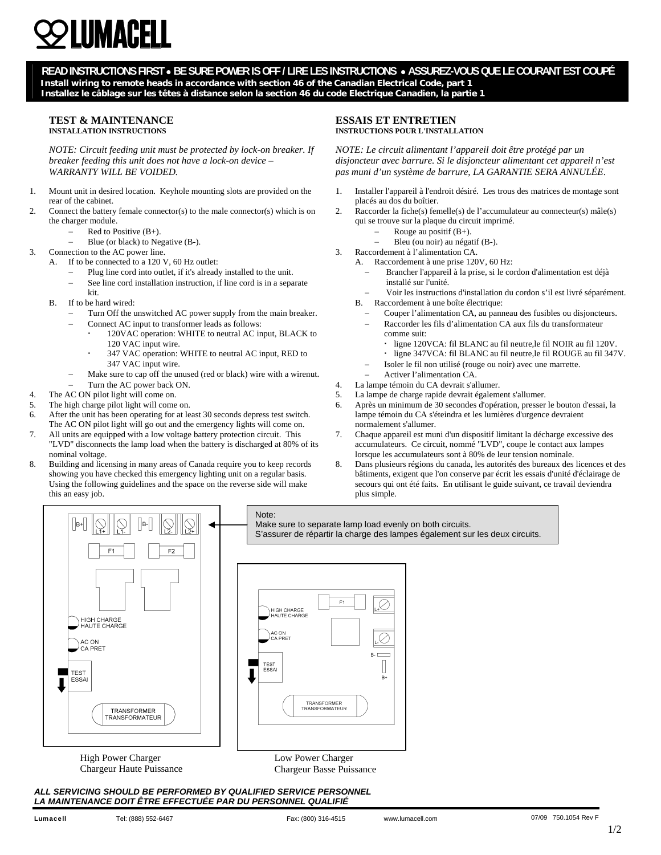# IIMACFI

**READ INSTRUCTIONS FIRST** • **BE SURE POWER IS OFF / LIRE LES INSTRUCTIONS** • **ASSUREZ-VOUS QUE LE COURANT EST COUPÉ Install wiring to remote heads in accordance with section 46 of the Canadian Electrical Code, part 1 Installez le câblage sur les têtes à distance selon la section 46 du code Electrique Canadien, la partie 1**

# **TEST & MAINTENANCE INSTALLATION INSTRUCTIONS**

*NOTE: Circuit feeding unit must be protected by lock-on breaker. If breaker feeding this unit does not have a lock-on device – WARRANTY WILL BE VOIDED.* 

- 1. Mount unit in desired location. Keyhole mounting slots are provided on the rear of the cabinet.
- 2. Connect the battery female connector(s) to the male connector(s) which is on the charger module.
	- − Red to Positive (B+).
	- − Blue (or black) to Negative (B-).
- 3. Connection to the AC power line.
	- A. If to be connected to a 120 V, 60 Hz outlet:
		- Plug line cord into outlet, if it's already installed to the unit.
		- See line cord installation instruction, if line cord is in a separate kit.
	- B. If to be hard wired:
		- Turn Off the unswitched AC power supply from the main breaker.
			- Connect AC input to transformer leads as follows: 120VAC operation: WHITE to neutral AC input, BLACK to 120 VAC input wire.
			- 347 VAC operation: WHITE to neutral AC input, RED to 347 VAC input wire.
		- Make sure to cap off the unused (red or black) wire with a wirenut.
		- Turn the AC power back ON.
- 4. The AC ON pilot light will come on.
- 5. The high charge pilot light will come on.
- 6. After the unit has been operating for at least 30 seconds depress test switch. The AC ON pilot light will go out and the emergency lights will come on.
- 7. All units are equipped with a low voltage battery protection circuit. This "LVD" disconnects the lamp load when the battery is discharged at 80% of its nominal voltage.
- 8. Building and licensing in many areas of Canada require you to keep records showing you have checked this emergency lighting unit on a regular basis. Using the following guidelines and the space on the reverse side will make this an easy job.

# **ESSAIS ET ENTRETIEN INSTRUCTIONS POUR L'INSTALLATION**

*NOTE: Le circuit alimentant l'appareil doit être protégé par un disjoncteur avec barrure. Si le disjoncteur alimentant cet appareil n'est pas muni d'un système de barrure, LA GARANTIE SERA ANNULÉE*.

- 1. Installer l'appareil à l'endroit désiré. Les trous des matrices de montage sont placés au dos du boîtier.
- 2. Raccorder la fiche(s) femelle(s) de l'accumulateur au connecteur(s) mâle(s) qui se trouve sur la plaque du circuit imprimé.
	- Rouge au positif  $(B+)$ .
	- − Bleu (ou noir) au négatif (B-).
- 3. Raccordement à l'alimentation CA.
	- A. Raccordement à une prise 120V, 60 Hz:
		- Brancher l'appareil à la prise, si le cordon d'alimentation est déjà installé sur l'unité.
		- − Voir les instructions d'installation du cordon s'il est livré séparément.
	- B. Raccordement à une boîte électrique:
		- − Couper l'alimentation CA, au panneau des fusibles ou disjoncteurs.
		- − Raccorder les fils d'alimentation CA aux fils du transformateur comme suit:
			- ligne 120VCA: fil BLANC au fil neutre,le fil NOIR au fil 120V.
			- ligne 347VCA: fil BLANC au fil neutre,le fil ROUGE au fil 347V.
		- − Isoler le fil non utilisé (rouge ou noir) avec une marrette.
	- − Activer l'alimentation CA.
- 4. La lampe témoin du CA devrait s'allumer. 5. La lampe de charge rapide devrait également s'allumer.
- 6. Après un minimum de 30 secondes d'opération, presser le bouton d'essai, la
- lampe témoin du CA s'éteindra et les lumières d'urgence devraient normalement s'allumer.
- 7. Chaque appareil est muni d'un dispositif limitant la décharge excessive des accumulateurs. Ce circuit, nommé "LVD", coupe le contact aux lampes lorsque les accumulateurs sont à 80% de leur tension nominale.
- 8. Dans plusieurs régions du canada, les autorités des bureaux des licences et des bâtiments, exigent que l'on conserve par écrit les essais d'unité d'éclairage de secours qui ont été faits. En utilisant le guide suivant, ce travail deviendra plus simple.



F1 HIGH CHARGE<br>HAUTE CHARGE Ò TEST<br>ESSA  $\mathbf{R}$ TRANSFORMER<br>TRANSFORMATEUR Low Power Charger

Note:

Chargeur Basse Puissance

*ALL SERVICING SHOULD BE PERFORMED BY QUALIFIED SERVICE PERSONNEL LA MAINTENANCE DOIT ÊTRE EFFECTUÉE PAR DU PERSONNEL QUALIFIÉ* 

Chargeur Haute Puissance

Make sure to separate lamp load evenly on both circuits. S'assurer de répartir la charge des lampes également sur les deux circuits.